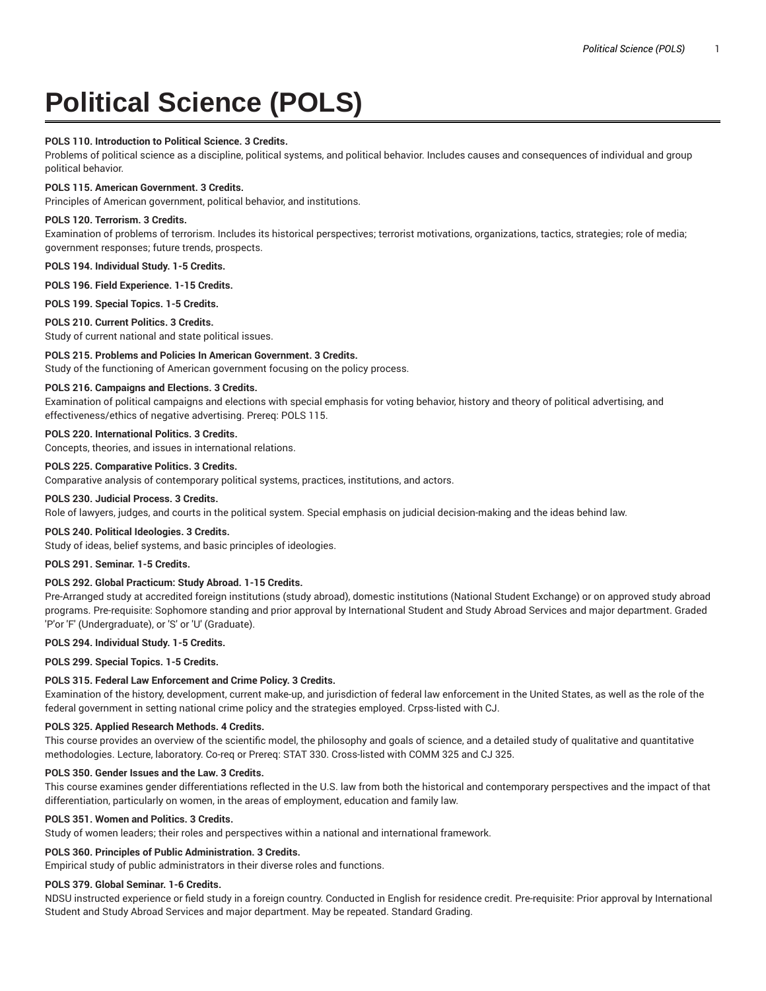# **Political Science (POLS)**

## **POLS 110. Introduction to Political Science. 3 Credits.**

Problems of political science as a discipline, political systems, and political behavior. Includes causes and consequences of individual and group political behavior.

## **POLS 115. American Government. 3 Credits.**

Principles of American government, political behavior, and institutions.

## **POLS 120. Terrorism. 3 Credits.**

Examination of problems of terrorism. Includes its historical perspectives; terrorist motivations, organizations, tactics, strategies; role of media; government responses; future trends, prospects.

**POLS 194. Individual Study. 1-5 Credits.**

**POLS 196. Field Experience. 1-15 Credits.**

**POLS 199. Special Topics. 1-5 Credits.**

## **POLS 210. Current Politics. 3 Credits.**

Study of current national and state political issues.

## **POLS 215. Problems and Policies In American Government. 3 Credits.**

Study of the functioning of American government focusing on the policy process.

## **POLS 216. Campaigns and Elections. 3 Credits.**

Examination of political campaigns and elections with special emphasis for voting behavior, history and theory of political advertising, and effectiveness/ethics of negative advertising. Prereq: POLS 115.

# **POLS 220. International Politics. 3 Credits.**

Concepts, theories, and issues in international relations.

# **POLS 225. Comparative Politics. 3 Credits.**

Comparative analysis of contemporary political systems, practices, institutions, and actors.

## **POLS 230. Judicial Process. 3 Credits.**

Role of lawyers, judges, and courts in the political system. Special emphasis on judicial decision-making and the ideas behind law.

## **POLS 240. Political Ideologies. 3 Credits.**

Study of ideas, belief systems, and basic principles of ideologies.

## **POLS 291. Seminar. 1-5 Credits.**

# **POLS 292. Global Practicum: Study Abroad. 1-15 Credits.**

Pre-Arranged study at accredited foreign institutions (study abroad), domestic institutions (National Student Exchange) or on approved study abroad programs. Pre-requisite: Sophomore standing and prior approval by International Student and Study Abroad Services and major department. Graded 'P'or 'F' (Undergraduate), or 'S' or 'U' (Graduate).

#### **POLS 294. Individual Study. 1-5 Credits.**

**POLS 299. Special Topics. 1-5 Credits.**

## **POLS 315. Federal Law Enforcement and Crime Policy. 3 Credits.**

Examination of the history, development, current make-up, and jurisdiction of federal law enforcement in the United States, as well as the role of the federal government in setting national crime policy and the strategies employed. Crpss-listed with CJ.

## **POLS 325. Applied Research Methods. 4 Credits.**

This course provides an overview of the scientific model, the philosophy and goals of science, and a detailed study of qualitative and quantitative methodologies. Lecture, laboratory. Co-req or Prereq: STAT 330. Cross-listed with COMM 325 and CJ 325.

## **POLS 350. Gender Issues and the Law. 3 Credits.**

This course examines gender differentiations reflected in the U.S. law from both the historical and contemporary perspectives and the impact of that differentiation, particularly on women, in the areas of employment, education and family law.

## **POLS 351. Women and Politics. 3 Credits.**

Study of women leaders; their roles and perspectives within a national and international framework.

## **POLS 360. Principles of Public Administration. 3 Credits.**

Empirical study of public administrators in their diverse roles and functions.

#### **POLS 379. Global Seminar. 1-6 Credits.**

NDSU instructed experience or field study in a foreign country. Conducted in English for residence credit. Pre-requisite: Prior approval by International Student and Study Abroad Services and major department. May be repeated. Standard Grading.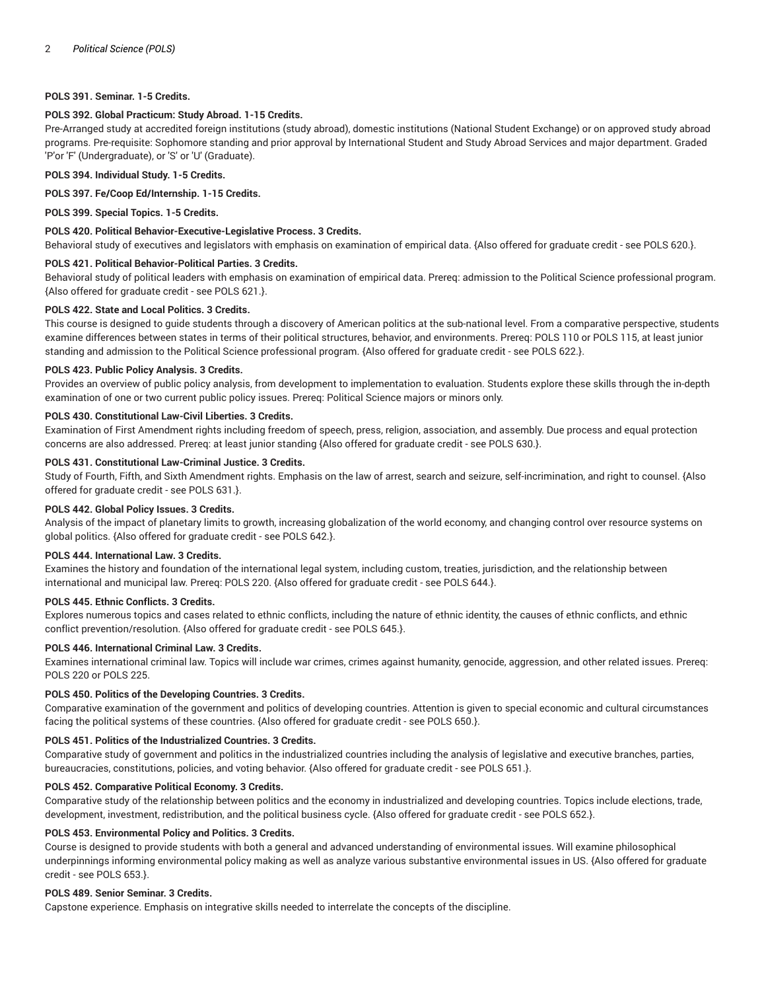# **POLS 391. Seminar. 1-5 Credits.**

## **POLS 392. Global Practicum: Study Abroad. 1-15 Credits.**

Pre-Arranged study at accredited foreign institutions (study abroad), domestic institutions (National Student Exchange) or on approved study abroad programs. Pre-requisite: Sophomore standing and prior approval by International Student and Study Abroad Services and major department. Graded 'P'or 'F' (Undergraduate), or 'S' or 'U' (Graduate).

## **POLS 394. Individual Study. 1-5 Credits.**

#### **POLS 397. Fe/Coop Ed/Internship. 1-15 Credits.**

**POLS 399. Special Topics. 1-5 Credits.**

## **POLS 420. Political Behavior-Executive-Legislative Process. 3 Credits.**

Behavioral study of executives and legislators with emphasis on examination of empirical data. {Also offered for graduate credit - see POLS 620.}.

#### **POLS 421. Political Behavior-Political Parties. 3 Credits.**

Behavioral study of political leaders with emphasis on examination of empirical data. Prereq: admission to the Political Science professional program. {Also offered for graduate credit - see POLS 621.}.

## **POLS 422. State and Local Politics. 3 Credits.**

This course is designed to guide students through a discovery of American politics at the sub-national level. From a comparative perspective, students examine differences between states in terms of their political structures, behavior, and environments. Prereq: POLS 110 or POLS 115, at least junior standing and admission to the Political Science professional program. {Also offered for graduate credit - see POLS 622.}.

## **POLS 423. Public Policy Analysis. 3 Credits.**

Provides an overview of public policy analysis, from development to implementation to evaluation. Students explore these skills through the in-depth examination of one or two current public policy issues. Prereq: Political Science majors or minors only.

## **POLS 430. Constitutional Law-Civil Liberties. 3 Credits.**

Examination of First Amendment rights including freedom of speech, press, religion, association, and assembly. Due process and equal protection concerns are also addressed. Prereq: at least junior standing {Also offered for graduate credit - see POLS 630.}.

## **POLS 431. Constitutional Law-Criminal Justice. 3 Credits.**

Study of Fourth, Fifth, and Sixth Amendment rights. Emphasis on the law of arrest, search and seizure, self-incrimination, and right to counsel. {Also offered for graduate credit - see POLS 631.}.

## **POLS 442. Global Policy Issues. 3 Credits.**

Analysis of the impact of planetary limits to growth, increasing globalization of the world economy, and changing control over resource systems on global politics. {Also offered for graduate credit - see POLS 642.}.

## **POLS 444. International Law. 3 Credits.**

Examines the history and foundation of the international legal system, including custom, treaties, jurisdiction, and the relationship between international and municipal law. Prereq: POLS 220. {Also offered for graduate credit - see POLS 644.}.

## **POLS 445. Ethnic Conflicts. 3 Credits.**

Explores numerous topics and cases related to ethnic conflicts, including the nature of ethnic identity, the causes of ethnic conflicts, and ethnic conflict prevention/resolution. {Also offered for graduate credit - see POLS 645.}.

# **POLS 446. International Criminal Law. 3 Credits.**

Examines international criminal law. Topics will include war crimes, crimes against humanity, genocide, aggression, and other related issues. Prereq: POLS 220 or POLS 225.

## **POLS 450. Politics of the Developing Countries. 3 Credits.**

Comparative examination of the government and politics of developing countries. Attention is given to special economic and cultural circumstances facing the political systems of these countries. {Also offered for graduate credit - see POLS 650.}.

## **POLS 451. Politics of the Industrialized Countries. 3 Credits.**

Comparative study of government and politics in the industrialized countries including the analysis of legislative and executive branches, parties, bureaucracies, constitutions, policies, and voting behavior. {Also offered for graduate credit - see POLS 651.}.

### **POLS 452. Comparative Political Economy. 3 Credits.**

Comparative study of the relationship between politics and the economy in industrialized and developing countries. Topics include elections, trade, development, investment, redistribution, and the political business cycle. {Also offered for graduate credit - see POLS 652.}.

# **POLS 453. Environmental Policy and Politics. 3 Credits.**

Course is designed to provide students with both a general and advanced understanding of environmental issues. Will examine philosophical underpinnings informing environmental policy making as well as analyze various substantive environmental issues in US. {Also offered for graduate credit - see POLS 653.}.

#### **POLS 489. Senior Seminar. 3 Credits.**

Capstone experience. Emphasis on integrative skills needed to interrelate the concepts of the discipline.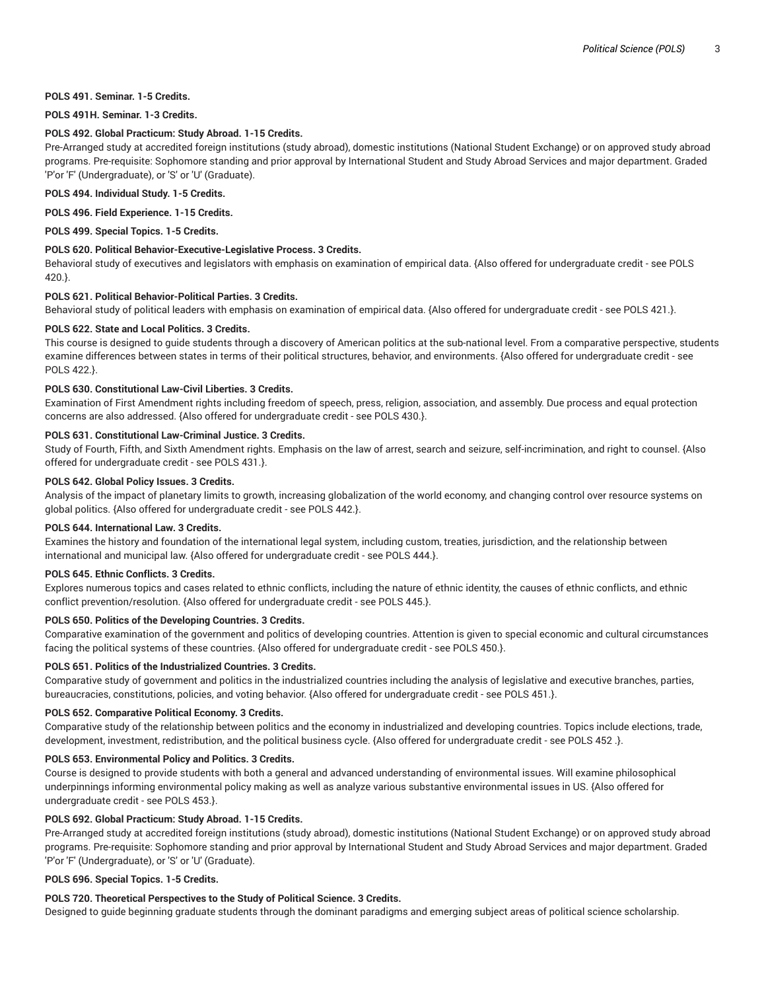## **POLS 491. Seminar. 1-5 Credits.**

## **POLS 491H. Seminar. 1-3 Credits.**

## **POLS 492. Global Practicum: Study Abroad. 1-15 Credits.**

Pre-Arranged study at accredited foreign institutions (study abroad), domestic institutions (National Student Exchange) or on approved study abroad programs. Pre-requisite: Sophomore standing and prior approval by International Student and Study Abroad Services and major department. Graded 'P'or 'F' (Undergraduate), or 'S' or 'U' (Graduate).

**POLS 494. Individual Study. 1-5 Credits.**

**POLS 496. Field Experience. 1-15 Credits.**

**POLS 499. Special Topics. 1-5 Credits.**

#### **POLS 620. Political Behavior-Executive-Legislative Process. 3 Credits.**

Behavioral study of executives and legislators with emphasis on examination of empirical data. {Also offered for undergraduate credit - see POLS 420.}.

## **POLS 621. Political Behavior-Political Parties. 3 Credits.**

Behavioral study of political leaders with emphasis on examination of empirical data. {Also offered for undergraduate credit - see POLS 421.}.

## **POLS 622. State and Local Politics. 3 Credits.**

This course is designed to guide students through a discovery of American politics at the sub-national level. From a comparative perspective, students examine differences between states in terms of their political structures, behavior, and environments. {Also offered for undergraduate credit - see POLS 422.}.

## **POLS 630. Constitutional Law-Civil Liberties. 3 Credits.**

Examination of First Amendment rights including freedom of speech, press, religion, association, and assembly. Due process and equal protection concerns are also addressed. {Also offered for undergraduate credit - see POLS 430.}.

#### **POLS 631. Constitutional Law-Criminal Justice. 3 Credits.**

Study of Fourth, Fifth, and Sixth Amendment rights. Emphasis on the law of arrest, search and seizure, self-incrimination, and right to counsel. {Also offered for undergraduate credit - see POLS 431.}.

## **POLS 642. Global Policy Issues. 3 Credits.**

Analysis of the impact of planetary limits to growth, increasing globalization of the world economy, and changing control over resource systems on global politics. {Also offered for undergraduate credit - see POLS 442.}.

## **POLS 644. International Law. 3 Credits.**

Examines the history and foundation of the international legal system, including custom, treaties, jurisdiction, and the relationship between international and municipal law. {Also offered for undergraduate credit - see POLS 444.}.

#### **POLS 645. Ethnic Conflicts. 3 Credits.**

Explores numerous topics and cases related to ethnic conflicts, including the nature of ethnic identity, the causes of ethnic conflicts, and ethnic conflict prevention/resolution. {Also offered for undergraduate credit - see POLS 445.}.

## **POLS 650. Politics of the Developing Countries. 3 Credits.**

Comparative examination of the government and politics of developing countries. Attention is given to special economic and cultural circumstances facing the political systems of these countries. {Also offered for undergraduate credit - see POLS 450.}.

#### **POLS 651. Politics of the Industrialized Countries. 3 Credits.**

Comparative study of government and politics in the industrialized countries including the analysis of legislative and executive branches, parties, bureaucracies, constitutions, policies, and voting behavior. {Also offered for undergraduate credit - see POLS 451.}.

## **POLS 652. Comparative Political Economy. 3 Credits.**

Comparative study of the relationship between politics and the economy in industrialized and developing countries. Topics include elections, trade, development, investment, redistribution, and the political business cycle. {Also offered for undergraduate credit - see POLS 452 .}.

## **POLS 653. Environmental Policy and Politics. 3 Credits.**

Course is designed to provide students with both a general and advanced understanding of environmental issues. Will examine philosophical underpinnings informing environmental policy making as well as analyze various substantive environmental issues in US. {Also offered for undergraduate credit - see POLS 453.}.

# **POLS 692. Global Practicum: Study Abroad. 1-15 Credits.**

Pre-Arranged study at accredited foreign institutions (study abroad), domestic institutions (National Student Exchange) or on approved study abroad programs. Pre-requisite: Sophomore standing and prior approval by International Student and Study Abroad Services and major department. Graded 'P'or 'F' (Undergraduate), or 'S' or 'U' (Graduate).

# **POLS 696. Special Topics. 1-5 Credits.**

## **POLS 720. Theoretical Perspectives to the Study of Political Science. 3 Credits.**

Designed to guide beginning graduate students through the dominant paradigms and emerging subject areas of political science scholarship.